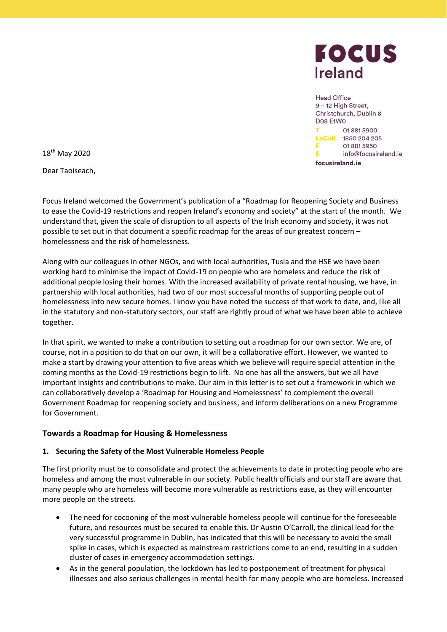

Head Office 9-12 High Street, Christchurch, Dublin 8 Dos E1Wo 01 881 5900 LoCall 1850 204 205 018815950 E info@focusireland.ie focusireland.ie

18<sup>th</sup> May 2020

Dear Taoiseach,

Focus Ireland welcomed the Government's publication of a "Roadmap for Reopening Society and Business to ease the Covid-19 restrictions and reopen Ireland's economy and society" at the start of the month. We understand that, given the scale of disruption to all aspects of the Irish economy and society, it was not possible to set out in that document a specific roadmap for the areas of our greatest concern – homelessness and the risk of homelessness.

Along with our colleagues in other NGOs, and with local authorities, Tusla and the HSE we have been working hard to minimise the impact of Covid-19 on people who are homeless and reduce the risk of additional people losing their homes. With the increased availability of private rental housing, we have, in partnership with local authorities, had two of our most successful months of supporting people out of homelessness into new secure homes. I know you have noted the success of that work to date, and, like all in the statutory and non-statutory sectors, our staff are rightly proud of what we have been able to achieve together.

In that spirit, we wanted to make a contribution to setting out a roadmap for our own sector. We are, of course, not in a position to do that on our own, it will be a collaborative effort. However, we wanted to make a start by drawing your attention to five areas which we believe will require special attention in the coming months as the Covid-19 restrictions begin to lift. No one has all the answers, but we all have important insights and contributions to make. Our aim in this letter is to set out a framework in which we can collaboratively develop a 'Roadmap for Housing and Homelessness' to complement the overall Government Roadmap for reopening society and business, and inform deliberations on a new Programme for Government.

# **Towards a Roadmap for Housing & Homelessness**

# **1. Securing the Safety of the Most Vulnerable Homeless People**

The first priority must be to consolidate and protect the achievements to date in protecting people who are homeless and among the most vulnerable in our society. Public health officials and our staff are aware that many people who are homeless will become more vulnerable as restrictions ease, as they will encounter more people on the streets.

- The need for cocooning of the most vulnerable homeless people will continue for the foreseeable future, and resources must be secured to enable this. Dr Austin O'Carroll, the clinical lead for the very successful programme in Dublin, has indicated that this will be necessary to avoid the small spike in cases, which is expected as mainstream restrictions come to an end, resulting in a sudden cluster of cases in emergency accommodation settings.
- As in the general population, the lockdown has led to postponement of treatment for physical illnesses and also serious challenges in mental health for many people who are homeless. Increased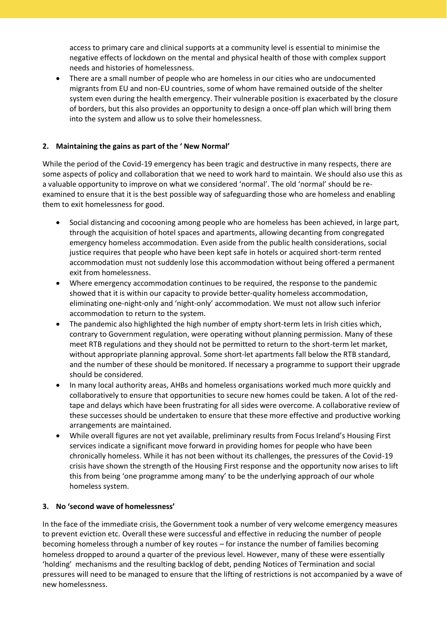access to primary care and clinical supports at a community level is essential to minimise the negative effects of lockdown on the mental and physical health of those with complex support needs and histories of homelessness.

 There are a small number of people who are homeless in our cities who are undocumented migrants from EU and non-EU countries, some of whom have remained outside of the shelter system even during the health emergency. Their vulnerable position is exacerbated by the closure of borders, but this also provides an opportunity to design a once-off plan which will bring them into the system and allow us to solve their homelessness.

# **2. Maintaining the gains as part of the ' New Normal'**

While the period of the Covid-19 emergency has been tragic and destructive in many respects, there are some aspects of policy and collaboration that we need to work hard to maintain. We should also use this as a valuable opportunity to improve on what we considered 'normal'. The old 'normal' should be reexamined to ensure that it is the best possible way of safeguarding those who are homeless and enabling them to exit homelessness for good.

- Social distancing and cocooning among people who are homeless has been achieved, in large part, through the acquisition of hotel spaces and apartments, allowing decanting from congregated emergency homeless accommodation. Even aside from the public health considerations, social justice requires that people who have been kept safe in hotels or acquired short-term rented accommodation must not suddenly lose this accommodation without being offered a permanent exit from homelessness.
- Where emergency accommodation continues to be required, the response to the pandemic showed that it is within our capacity to provide better-quality homeless accommodation, eliminating one-night-only and 'night-only' accommodation. We must not allow such inferior accommodation to return to the system.
- The pandemic also highlighted the high number of empty short-term lets in Irish cities which, contrary to Government regulation, were operating without planning permission. Many of these meet RTB regulations and they should not be permitted to return to the short-term let market, without appropriate planning approval. Some short-let apartments fall below the RTB standard, and the number of these should be monitored. If necessary a programme to support their upgrade should be considered.
- In many local authority areas, AHBs and homeless organisations worked much more quickly and collaboratively to ensure that opportunities to secure new homes could be taken. A lot of the redtape and delays which have been frustrating for all sides were overcome. A collaborative review of these successes should be undertaken to ensure that these more effective and productive working arrangements are maintained.
- While overall figures are not yet available, preliminary results from Focus Ireland's Housing First services indicate a significant move forward in providing homes for people who have been chronically homeless. While it has not been without its challenges, the pressures of the Covid-19 crisis have shown the strength of the Housing First response and the opportunity now arises to lift this from being 'one programme among many' to be the underlying approach of our whole homeless system.

# **3. No 'second wave of homelessness'**

In the face of the immediate crisis, the Government took a number of very welcome emergency measures to prevent eviction etc. Overall these were successful and effective in reducing the number of people becoming homeless through a number of key routes – for instance the number of families becoming homeless dropped to around a quarter of the previous level. However, many of these were essentially 'holding' mechanisms and the resulting backlog of debt, pending Notices of Termination and social pressures will need to be managed to ensure that the lifting of restrictions is not accompanied by a wave of new homelessness.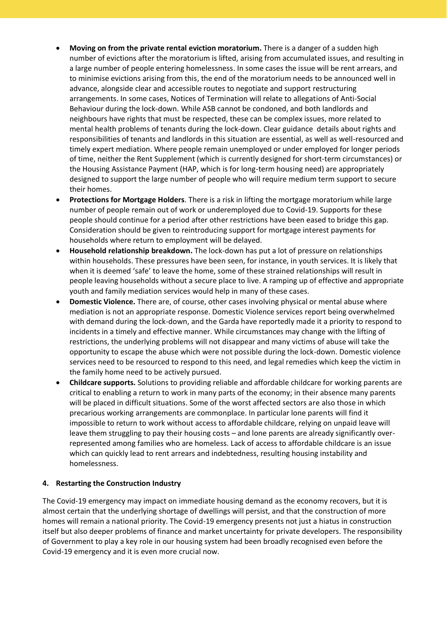- **Moving on from the private rental eviction moratorium.** There is a danger of a sudden high number of evictions after the moratorium is lifted, arising from accumulated issues, and resulting in a large number of people entering homelessness. In some cases the issue will be rent arrears, and to minimise evictions arising from this, the end of the moratorium needs to be announced well in advance, alongside clear and accessible routes to negotiate and support restructuring arrangements. In some cases, Notices of Termination will relate to allegations of Anti-Social Behaviour during the lock-down. While ASB cannot be condoned, and both landlords and neighbours have rights that must be respected, these can be complex issues, more related to mental health problems of tenants during the lock-down. Clear guidance details about rights and responsibilities of tenants and landlords in this situation are essential, as well as well-resourced and timely expert mediation. Where people remain unemployed or under employed for longer periods of time, neither the Rent Supplement (which is currently designed for short-term circumstances) or the Housing Assistance Payment (HAP, which is for long-term housing need) are appropriately designed to support the large number of people who will require medium term support to secure their homes.
- **Protections for Mortgage Holders**. There is a risk in lifting the mortgage moratorium while large number of people remain out of work or underemployed due to Covid-19. Supports for these people should continue for a period after other restrictions have been eased to bridge this gap. Consideration should be given to reintroducing support for mortgage interest payments for households where return to employment will be delayed.
- **Household relationship breakdown.** The lock-down has put a lot of pressure on relationships within households. These pressures have been seen, for instance, in youth services. It is likely that when it is deemed 'safe' to leave the home, some of these strained relationships will result in people leaving households without a secure place to live. A ramping up of effective and appropriate youth and family mediation services would help in many of these cases.
- **Domestic Violence.** There are, of course, other cases involving physical or mental abuse where mediation is not an appropriate response. Domestic Violence services report being overwhelmed with demand during the lock-down, and the Garda have reportedly made it a priority to respond to incidents in a timely and effective manner. While circumstances may change with the lifting of restrictions, the underlying problems will not disappear and many victims of abuse will take the opportunity to escape the abuse which were not possible during the lock-down. Domestic violence services need to be resourced to respond to this need, and legal remedies which keep the victim in the family home need to be actively pursued.
- **Childcare supports.** Solutions to providing reliable and affordable childcare for working parents are critical to enabling a return to work in many parts of the economy; in their absence many parents will be placed in difficult situations. Some of the worst affected sectors are also those in which precarious working arrangements are commonplace. In particular lone parents will find it impossible to return to work without access to affordable childcare, relying on unpaid leave will leave them struggling to pay their housing costs – and lone parents are already significantly overrepresented among families who are homeless. Lack of access to affordable childcare is an issue which can quickly lead to rent arrears and indebtedness, resulting housing instability and homelessness.

# **4. Restarting the Construction Industry**

The Covid-19 emergency may impact on immediate housing demand as the economy recovers, but it is almost certain that the underlying shortage of dwellings will persist, and that the construction of more homes will remain a national priority. The Covid-19 emergency presents not just a hiatus in construction itself but also deeper problems of finance and market uncertainty for private developers. The responsibility of Government to play a key role in our housing system had been broadly recognised even before the Covid-19 emergency and it is even more crucial now.